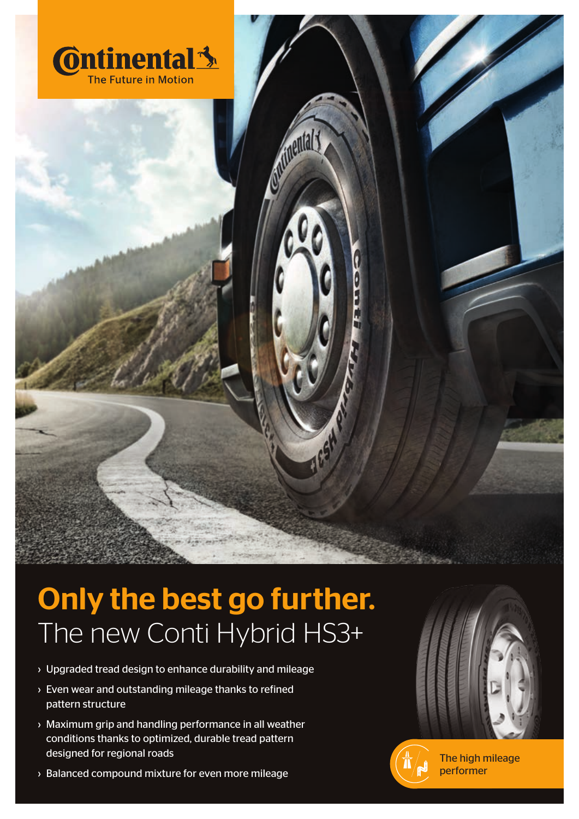

## The new Conti Hybrid HS3+ Only the best go further.

ontinental

**1654** 

- › Upgraded tread design to enhance durability and mileage
- › Even wear and outstanding mileage thanks to refined pattern structure
- › Maximum grip and handling performance in all weather conditions thanks to optimized, durable tread pattern designed for regional roads
- › Balanced compound mixture for even more mileage





The high mileage performer